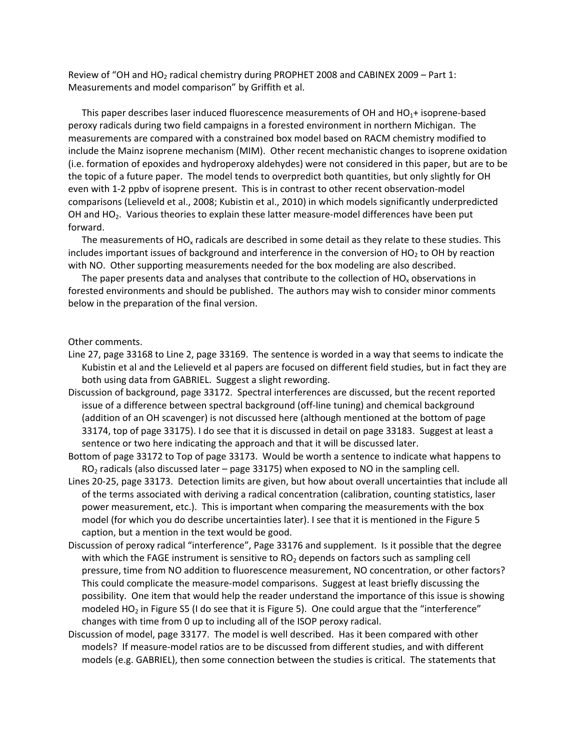Review of "OH and HO<sub>2</sub> radical chemistry during PROPHET 2008 and CABINEX 2009 – Part 1: Measurements and model comparison" by Griffith et al.

This paper describes laser induced fluorescence measurements of OH and  $HO<sub>1</sub>$ + isoprene-based peroxy radicals during two field campaigns in a forested environment in northern Michigan. The measurements are compared with a constrained box model based on RACM chemistry modified to include the Mainz isoprene mechanism (MIM). Other recent mechanistic changes to isoprene oxidation (i.e. formation of epoxides and hydroperoxy aldehydes) were not considered in this paper, but are to be the topic of a future paper. The model tends to overpredict both quantities, but only slightly for OH even with 1‐2 ppbv of isoprene present. This is in contrast to other recent observation‐model comparisons (Lelieveld et al., 2008; Kubistin et al., 2010) in which models significantly underpredicted OH and HO<sub>2</sub>. Various theories to explain these latter measure-model differences have been put forward.

The measurements of  $HO_x$  radicals are described in some detail as they relate to these studies. This includes important issues of background and interference in the conversion of HO<sub>2</sub> to OH by reaction with NO. Other supporting measurements needed for the box modeling are also described.

The paper presents data and analyses that contribute to the collection of  $HO_x$  observations in forested environments and should be published. The authors may wish to consider minor comments below in the preparation of the final version.

## Other comments.

- Line 27, page 33168 to Line 2, page 33169. The sentence is worded in a way that seems to indicate the Kubistin et al and the Lelieveld et al papers are focused on different field studies, but in fact they are both using data from GABRIEL. Suggest a slight rewording.
- Discussion of background, page 33172. Spectral interferences are discussed, but the recent reported issue of a difference between spectral background (off‐line tuning) and chemical background (addition of an OH scavenger) is not discussed here (although mentioned at the bottom of page 33174, top of page 33175). I do see that it is discussed in detail on page 33183. Suggest at least a sentence or two here indicating the approach and that it will be discussed later.
- Bottom of page 33172 to Top of page 33173. Would be worth a sentence to indicate what happens to  $RO<sub>2</sub>$  radicals (also discussed later – page 33175) when exposed to NO in the sampling cell.
- Lines 20‐25, page 33173. Detection limits are given, but how about overall uncertainties that include all of the terms associated with deriving a radical concentration (calibration, counting statistics, laser power measurement, etc.). This is important when comparing the measurements with the box model (for which you do describe uncertainties later). I see that it is mentioned in the Figure 5 caption, but a mention in the text would be good.
- Discussion of peroxy radical "interference", Page 33176 and supplement. Is it possible that the degree with which the FAGE instrument is sensitive to  $RO<sub>2</sub>$  depends on factors such as sampling cell pressure, time from NO addition to fluorescence measurement, NO concentration, or other factors? This could complicate the measure‐model comparisons. Suggest at least briefly discussing the possibility. One item that would help the reader understand the importance of this issue is showing modeled HO<sub>2</sub> in Figure S5 (I do see that it is Figure 5). One could argue that the "interference" changes with time from 0 up to including all of the ISOP peroxy radical.
- Discussion of model, page 33177. The model is well described. Has it been compared with other models? If measure‐model ratios are to be discussed from different studies, and with different models (e.g. GABRIEL), then some connection between the studies is critical. The statements that